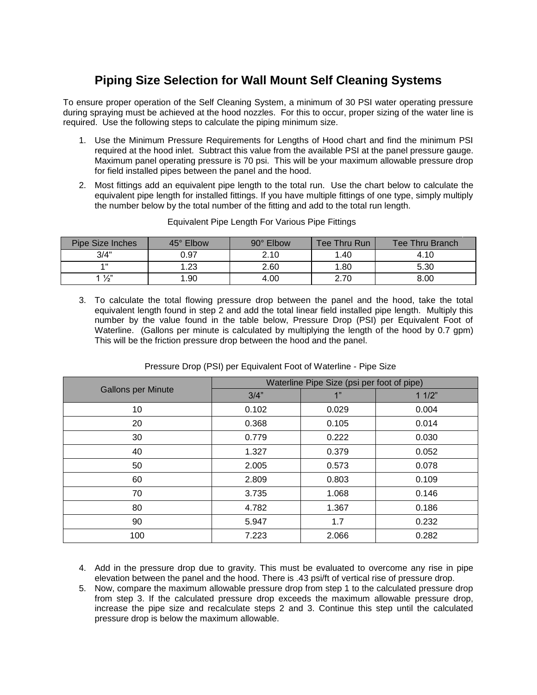# **Piping Size Selection for Wall Mount Self Cleaning Systems**

To ensure proper operation of the Self Cleaning System, a minimum of 30 PSI water operating pressure during spraying must be achieved at the hood nozzles. For this to occur, proper sizing of the water line is required. Use the following steps to calculate the piping minimum size.

- 1. Use the Minimum Pressure Requirements for Lengths of Hood chart and find the minimum PSI required at the hood inlet. Subtract this value from the available PSI at the panel pressure gauge. Maximum panel operating pressure is 70 psi. This will be your maximum allowable pressure drop for field installed pipes between the panel and the hood.
- 2. Most fittings add an equivalent pipe length to the total run. Use the chart below to calculate the equivalent pipe length for installed fittings. If you have multiple fittings of one type, simply multiply the number below by the total number of the fitting and add to the total run length.

| <b>Pipe Size Inches</b> | 45° Elbow | $90^\circ$ Elbow | Tee Thru Run | Tee Thru Branch |
|-------------------------|-----------|------------------|--------------|-----------------|
| 3/4"                    | 0.97      | 2.10             | 1.40         | 4.10            |
| 4 H                     | 1.23      | 2.60             | 1.80         | 5.30            |
| $\frac{1}{2}$           | 1.90      | 4.00             | 2.70         | 8.00            |

#### Equivalent Pipe Length For Various Pipe Fittings

3. To calculate the total flowing pressure drop between the panel and the hood, take the total equivalent length found in step 2 and add the total linear field installed pipe length. Multiply this number by the value found in the table below, Pressure Drop (PSI) per Equivalent Foot of Waterline. (Gallons per minute is calculated by multiplying the length of the hood by 0.7 gpm) This will be the friction pressure drop between the hood and the panel.

|                           | Waterline Pipe Size (psi per foot of pipe) |       |       |
|---------------------------|--------------------------------------------|-------|-------|
| <b>Gallons per Minute</b> | 3/4"                                       | 1"    | 11/2" |
| 10                        | 0.102                                      | 0.029 | 0.004 |
| 20                        | 0.368                                      | 0.105 | 0.014 |
| 30                        | 0.779                                      | 0.222 | 0.030 |
| 40                        | 1.327                                      | 0.379 | 0.052 |
| 50                        | 2.005                                      | 0.573 | 0.078 |
| 60                        | 2.809                                      | 0.803 | 0.109 |
| 70                        | 3.735                                      | 1.068 | 0.146 |
| 80                        | 4.782                                      | 1.367 | 0.186 |
| 90                        | 5.947                                      | 1.7   | 0.232 |
| 100                       | 7.223                                      | 2.066 | 0.282 |

Pressure Drop (PSI) per Equivalent Foot of Waterline - Pipe Size

- 4. Add in the pressure drop due to gravity. This must be evaluated to overcome any rise in pipe elevation between the panel and the hood. There is .43 psi/ft of vertical rise of pressure drop.
- 5. Now, compare the maximum allowable pressure drop from step 1 to the calculated pressure drop from step 3. If the calculated pressure drop exceeds the maximum allowable pressure drop, increase the pipe size and recalculate steps 2 and 3. Continue this step until the calculated pressure drop is below the maximum allowable.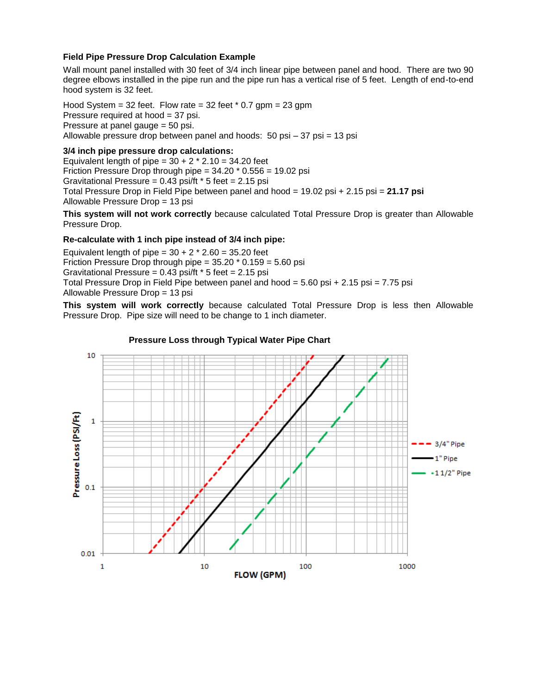# **Field Pipe Pressure Drop Calculation Example**

Wall mount panel installed with 30 feet of 3/4 inch linear pipe between panel and hood. There are two 90 degree elbows installed in the pipe run and the pipe run has a vertical rise of 5 feet. Length of end-to-end hood system is 32 feet.

Hood System =  $32$  feet. Flow rate =  $32$  feet  $*$  0.7 gpm =  $23$  gpm Pressure required at hood = 37 psi. Pressure at panel gauge = 50 psi. Allowable pressure drop between panel and hoods: 50 psi – 37 psi = 13 psi

## **3/4 inch pipe pressure drop calculations:**

Equivalent length of pipe =  $30 + 2 * 2.10 = 34.20$  feet Friction Pressure Drop through pipe  $=$  34.20  $*$  0.556  $=$  19.02 psi Gravitational Pressure =  $0.43$  psi/ft  $*$  5 feet = 2.15 psi Total Pressure Drop in Field Pipe between panel and hood = 19.02 psi + 2.15 psi = **21.17 psi** Allowable Pressure Drop = 13 psi

**This system will not work correctly** because calculated Total Pressure Drop is greater than Allowable Pressure Drop.

#### **Re-calculate with 1 inch pipe instead of 3/4 inch pipe:**

Equivalent length of pipe =  $30 + 2 * 2.60 = 35.20$  feet Friction Pressure Drop through pipe =  $35.20 * 0.159 = 5.60$  psi Gravitational Pressure =  $0.43$  psi/ft  $*$  5 feet = 2.15 psi Total Pressure Drop in Field Pipe between panel and hood = 5.60 psi + 2.15 psi = 7.75 psi Allowable Pressure Drop = 13 psi

**This system will work correctly** because calculated Total Pressure Drop is less then Allowable Pressure Drop. Pipe size will need to be change to 1 inch diameter.



#### **Pressure Loss through Typical Water Pipe Chart**